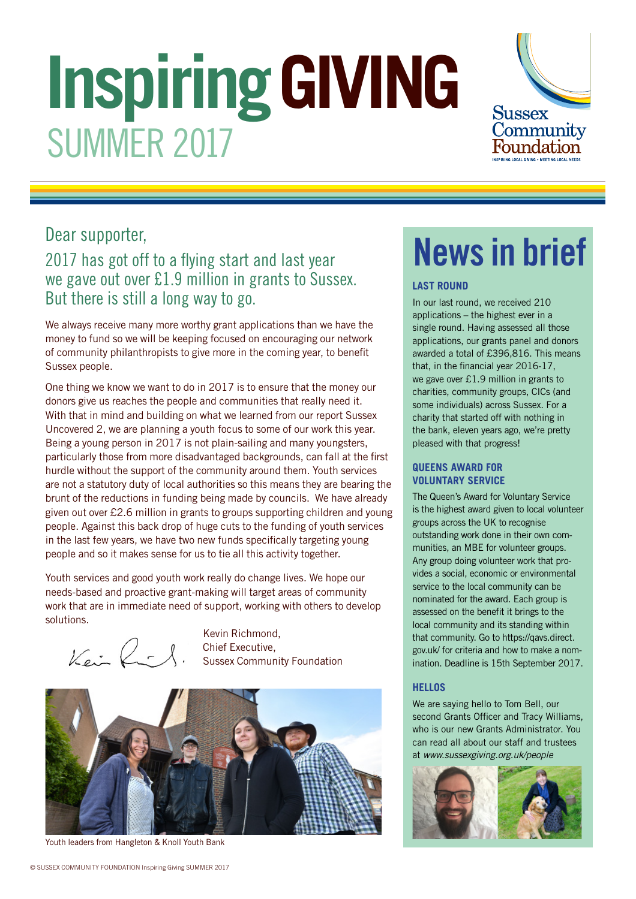# **Inspiring GIVING** SUMMER 2017



# Dear supporter,

# 2017 has got off to a flying start and last year we gave out over £1.9 million in grants to Sussex. But there is still a long way to go.

We always receive many more worthy grant applications than we have the money to fund so we will be keeping focused on encouraging our network of community philanthropists to give more in the coming year, to benefit Sussex people.

One thing we know we want to do in 2017 is to ensure that the money our donors give us reaches the people and communities that really need it. With that in mind and building on what we learned from our report Sussex Uncovered 2, we are planning a youth focus to some of our work this year. Being a young person in 2017 is not plain-sailing and many youngsters, particularly those from more disadvantaged backgrounds, can fall at the first hurdle without the support of the community around them. Youth services are not a statutory duty of local authorities so this means they are bearing the brunt of the reductions in funding being made by councils. We have already given out over £2.6 million in grants to groups supporting children and young people. Against this back drop of huge cuts to the funding of youth services in the last few years, we have two new funds specifically targeting young people and so it makes sense for us to tie all this activity together.

Youth services and good youth work really do change lives. We hope our needs-based and proactive grant-making will target areas of community work that are in immediate need of support, working with others to develop solutions.

 $Ker\rightarrow$ 

Kevin Richmond, Chief Executive, Sussex Community Foundation



Youth leaders from Hangleton & Knoll Youth Bank

# News in brief

#### **LAST ROUND**

In our last round, we received 210 applications – the highest ever in a single round. Having assessed all those applications, our grants panel and donors awarded a total of £396,816. This means that, in the financial year 2016-17, we gave over £1.9 million in grants to charities, community groups, CICs (and some individuals) across Sussex. For a charity that started off with nothing in the bank, eleven years ago, we're pretty pleased with that progress!

#### **QUEENS AWARD FOR VOLUNTARY SERVICE**

The Queen's Award for Voluntary Service is the highest award given to local volunteer groups across the UK to recognise outstanding work done in their own communities, an MBE for volunteer groups. Any group doing volunteer work that provides a social, economic or environmental service to the local community can be nominated for the award. Each group is assessed on the benefit it brings to the local community and its standing within that community. Go to https://qavs.direct. gov.uk/ for criteria and how to make a nomination. Deadline is 15th September 2017.

#### **HELLOS**

We are saying hello to Tom Bell, our second Grants Officer and Tracy Williams, who is our new Grants Administrator. You can read all about our staff and trustees at www.sussexgiving.org.uk/people

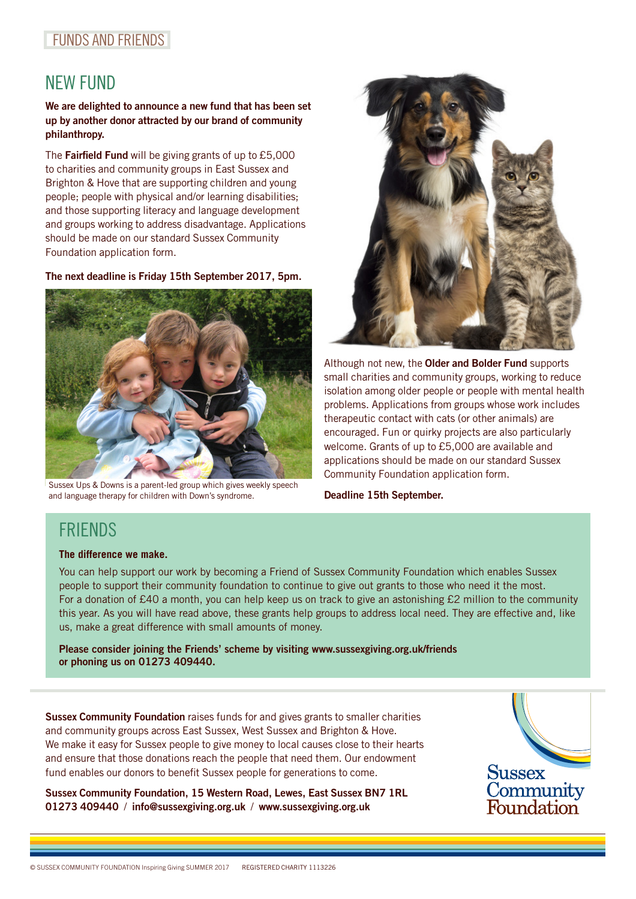### FUNDS AND FRIENDS

# NEW FUND

#### We are delighted to announce a new fund that has been set up by another donor attracted by our brand of community philanthropy.

The Fairfield Fund will be giving grants of up to  $£5,000$ to charities and community groups in East Sussex and Brighton & Hove that are supporting children and young people; people with physical and/or learning disabilities; and those supporting literacy and language development and groups working to address disadvantage. Applications should be made on our standard Sussex Community Foundation application form.

The next deadline is Friday 15th September 2017, 5pm.



Sussex Ups & Downs is a parent-led group which gives weekly speech and language therapy for children with Down's syndrome.



Although not new, the **Older and Bolder Fund** supports small charities and community groups, working to reduce isolation among older people or people with mental health problems. Applications from groups whose work includes therapeutic contact with cats (or other animals) are encouraged. Fun or quirky projects are also particularly welcome. Grants of up to £5,000 are available and applications should be made on our standard Sussex Community Foundation application form.

Deadline 15th September.

## **FRIENDS**

#### **The difference we make.**

You can help support our work by becoming a Friend of Sussex Community Foundation which enables Sussex people to support their community foundation to continue to give out grants to those who need it the most. For a donation of £40 a month, you can help keep us on track to give an astonishing £2 million to the community this year. As you will have read above, these grants help groups to address local need. They are effective and, like us, make a great difference with small amounts of money.

Please consider joining the Friends' scheme by visiting www.sussexgiving.org.uk/friends or phoning us on 01273 409440.

Sussex Community Foundation raises funds for and gives grants to smaller charities and community groups across East Sussex, West Sussex and Brighton & Hove. We make it easy for Sussex people to give money to local causes close to their hearts and ensure that those donations reach the people that need them. Our endowment fund enables our donors to benefit Sussex people for generations to come.

Sussex Community Foundation, 15 Western Road, Lewes, East Sussex BN7 1RL 01273 409440 / info@sussexgiving.org.uk / www.sussexgiving.org.uk

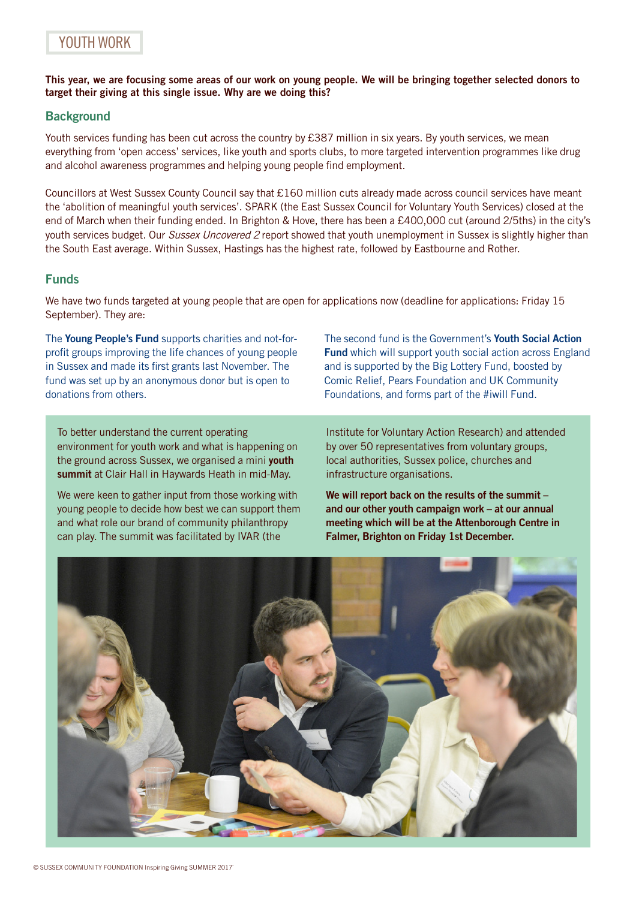This year, we are focusing some areas of our work on young people. We will be bringing together selected donors to target their giving at this single issue. Why are we doing this?

#### **Background**

Youth services funding has been cut across the country by £387 million in six years. By youth services, we mean everything from 'open access' services, like youth and sports clubs, to more targeted intervention programmes like drug and alcohol awareness programmes and helping young people find employment.

Councillors at West Sussex County Council say that £160 million cuts already made across council services have meant the 'abolition of meaningful youth services'. SPARK (the East Sussex Council for Voluntary Youth Services) closed at the end of March when their funding ended. In Brighton & Hove, there has been a £400,000 cut (around 2/5ths) in the city's youth services budget. Our Sussex Uncovered 2 report showed that youth unemployment in Sussex is slightly higher than the South East average. Within Sussex, Hastings has the highest rate, followed by Eastbourne and Rother.

#### Funds

We have two funds targeted at young people that are open for applications now (deadline for applications: Friday 15 September). They are:

The Young People's Fund supports charities and not-forprofit groups improving the life chances of young people in Sussex and made its first grants last November. The fund was set up by an anonymous donor but is open to donations from others.

To better understand the current operating environment for youth work and what is happening on the ground across Sussex, we organised a mini youth summit at Clair Hall in Haywards Heath in mid-May.

We were keen to gather input from those working with young people to decide how best we can support them and what role our brand of community philanthropy can play. The summit was facilitated by IVAR (the

The second fund is the Government's Youth Social Action **Fund** which will support youth social action across England and is supported by the Big Lottery Fund, boosted by Comic Relief, Pears Foundation and UK Community Foundations, and forms part of the #iwill Fund.

Institute for Voluntary Action Research) and attended by over 50 representatives from voluntary groups, local authorities, Sussex police, churches and infrastructure organisations.

We will report back on the results of the summit and our other youth campaign work – at our annual meeting which will be at the Attenborough Centre in Falmer, Brighton on Friday 1st December.